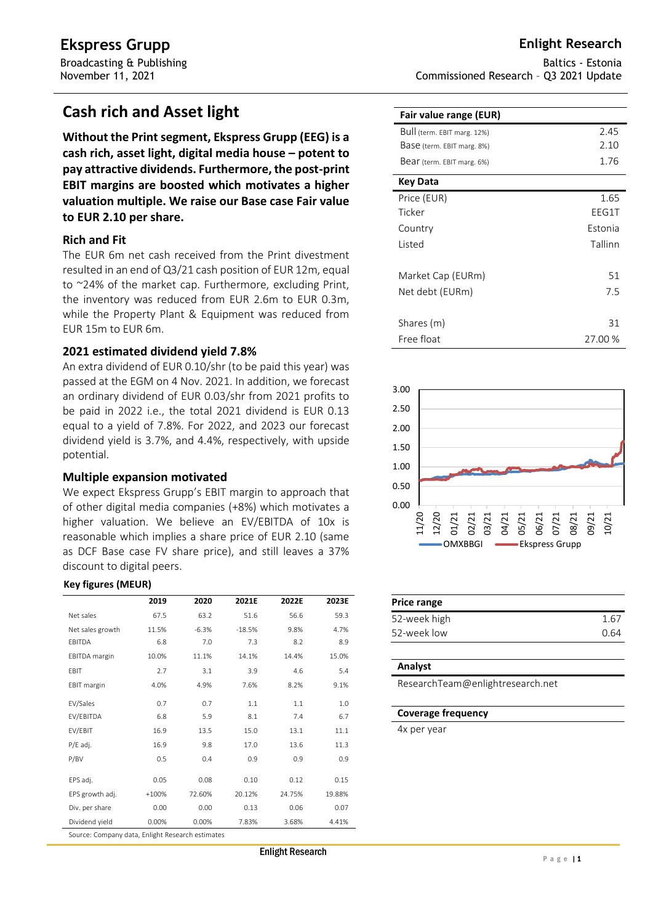# **Cash rich and Asset light**

**Without the Print segment, Ekspress Grupp (EEG) is a cash rich, asset light, digital media house – potent to pay attractive dividends. Furthermore, the post-print EBIT margins are boosted which motivates a higher valuation multiple. We raise our Base case Fair value to EUR 2.10 per share.**

### **Rich and Fit**

The EUR 6m net cash received from the Print divestment resulted in an end of Q3/21 cash position of EUR 12m, equal to ~24% of the market cap. Furthermore, excluding Print, the inventory was reduced from EUR 2.6m to EUR 0.3m, while the Property Plant & Equipment was reduced from EUR 15m to EUR 6m.

### **2021 estimated dividend yield 7.8%**

An extra dividend of EUR 0.10/shr (to be paid this year) was passed at the EGM on 4 Nov. 2021. In addition, we forecast an ordinary dividend of EUR 0.03/shr from 2021 profits to be paid in 2022 i.e., the total 2021 dividend is EUR 0.13 equal to a yield of 7.8%. For 2022, and 2023 our forecast dividend yield is 3.7%, and 4.4%, respectively, with upside potential.

### **Multiple expansion motivated**

We expect Ekspress Grupp's EBIT margin to approach that of other digital media companies (+8%) which motivates a higher valuation. We believe an EV/EBITDA of 10x is reasonable which implies a share price of EUR 2.10 (same as DCF Base case FV share price), and still leaves a 37% discount to digital peers.

#### **Key figures (MEUR)**

|                                                  | 2019    | 2020    | 2021E    | 2022E  | 2023E  |  |  |  |  |
|--------------------------------------------------|---------|---------|----------|--------|--------|--|--|--|--|
| Net sales                                        | 67.5    | 63.2    | 51.6     | 56.6   | 59.3   |  |  |  |  |
| Net sales growth                                 | 11.5%   | $-6.3%$ | $-18.5%$ | 9.8%   | 4.7%   |  |  |  |  |
| EBITDA                                           | 6.8     | 7.0     | 7.3      | 8.2    | 8.9    |  |  |  |  |
| <b>EBITDA</b> margin                             | 10.0%   | 11.1%   | 14.1%    | 14.4%  | 15.0%  |  |  |  |  |
| EBIT                                             | 2.7     | 3.1     | 3.9      | 4.6    | 5.4    |  |  |  |  |
| EBIT margin                                      | 4.0%    | 4.9%    | 7.6%     | 8.2%   | 9.1%   |  |  |  |  |
| EV/Sales                                         | 0.7     | 0.7     | 1.1      | 1.1    | 1.0    |  |  |  |  |
| EV/EBITDA                                        | 6.8     | 5.9     | 8.1      | 7.4    | 6.7    |  |  |  |  |
| EV/EBIT                                          | 16.9    | 13.5    | 15.0     | 13.1   | 11.1   |  |  |  |  |
| $P/E$ adj.                                       | 16.9    | 9.8     | 17.0     | 13.6   | 11.3   |  |  |  |  |
| P/BV                                             | 0.5     | 0.4     | 0.9      | 0.9    | 0.9    |  |  |  |  |
| EPS adj.                                         | 0.05    | 0.08    | 0.10     | 0.12   | 0.15   |  |  |  |  |
| EPS growth adj.                                  | $+100%$ | 72.60%  | 20.12%   | 24.75% | 19.88% |  |  |  |  |
| Div. per share                                   | 0.00    | 0.00    | 0.13     | 0.06   | 0.07   |  |  |  |  |
| Dividend yield                                   | 0.00%   | 0.00%   | 7.83%    | 3.68%  | 4.41%  |  |  |  |  |
| Source: Company data, Enlight Research estimates |         |         |          |        |        |  |  |  |  |

Baltics - Estonia Commissioned Research – Q3 2021 Update

| Fair value range (EUR)      |         |
|-----------------------------|---------|
| Bull (term. EBIT marg. 12%) | 2.45    |
| Base (term. EBIT marg. 8%)  | 2.10    |
| Bear (term. EBIT marg. 6%)  | 1.76    |
| Key Data                    |         |
| Price (EUR)                 | 1.65    |
| Ticker                      | EEG1T   |
| Country                     | Estonia |
| <b>Listed</b>               | Tallinn |
|                             |         |
| Market Cap (EURm)           | 51      |
| Net debt (EURm)             | 7.5     |
|                             |         |
| Shares (m)                  | 31      |
| Free float                  | 27.00 % |



| Price range  |      |
|--------------|------|
| 52-week high | 1.67 |
| 52-week low  | በ 64 |

#### **Analyst**

ResearchTeam@enlightresearch.net

#### **Coverage frequency**

4x per year

Enlight Research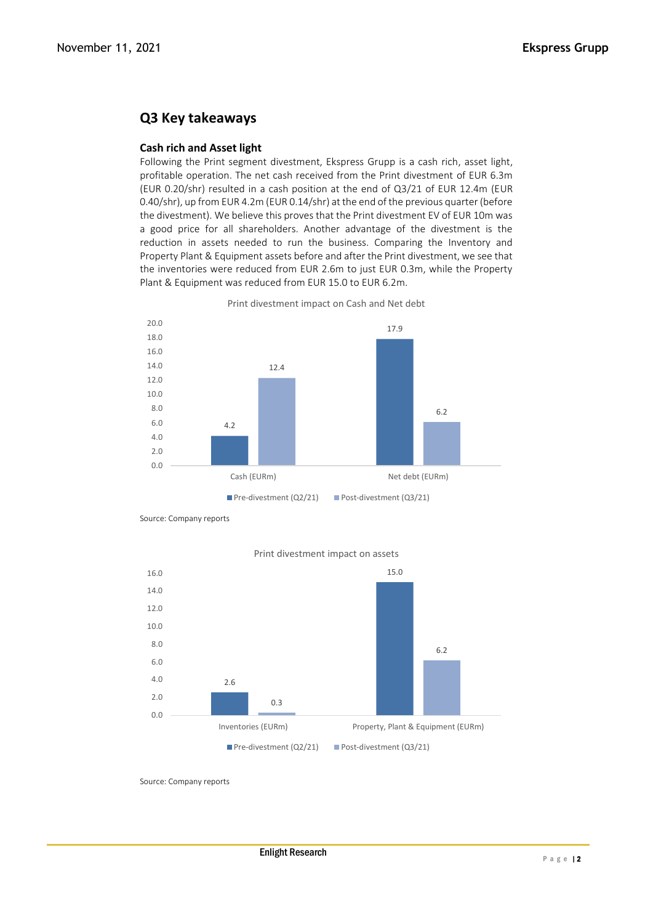# **Q3 Key takeaways**

### **Cash rich and Asset light**

Following the Print segment divestment, Ekspress Grupp is a cash rich, asset light, profitable operation. The net cash received from the Print divestment of EUR 6.3m (EUR 0.20/shr) resulted in a cash position at the end of Q3/21 of EUR 12.4m (EUR 0.40/shr), up from EUR 4.2m (EUR 0.14/shr) at the end of the previous quarter (before the divestment). We believe this proves that the Print divestment EV of EUR 10m was a good price for all shareholders. Another advantage of the divestment is the reduction in assets needed to run the business. Comparing the Inventory and Property Plant & Equipment assets before and after the Print divestment, we see that the inventories were reduced from EUR 2.6m to just EUR 0.3m, while the Property Plant & Equipment was reduced from EUR 15.0 to EUR 6.2m.



Print divestment impact on Cash and Net debt

Source: Company reports



### Print divestment impact on assets

Source: Company reports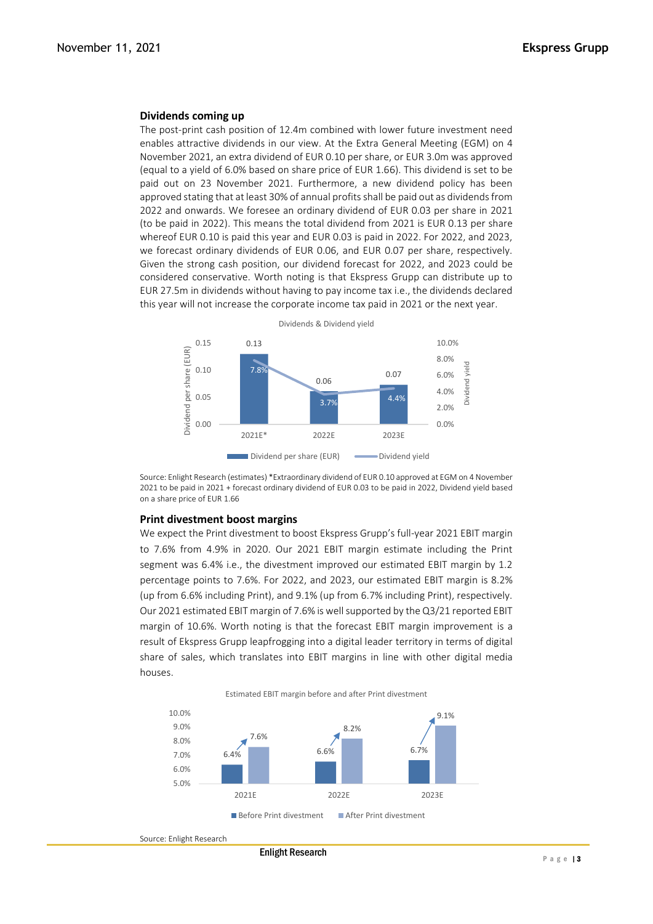#### **Dividends coming up**

The post-print cash position of 12.4m combined with lower future investment need enables attractive dividends in our view. At the Extra General Meeting (EGM) on 4 November 2021, an extra dividend of EUR 0.10 per share, or EUR 3.0m was approved (equal to a yield of 6.0% based on share price of EUR 1.66). This dividend is set to be paid out on 23 November 2021. Furthermore, a new dividend policy has been approved stating that at least 30% of annual profits shall be paid out as dividends from 2022 and onwards. We foresee an ordinary dividend of EUR 0.03 per share in 2021 (to be paid in 2022). This means the total dividend from 2021 is EUR 0.13 per share whereof EUR 0.10 is paid this year and EUR 0.03 is paid in 2022. For 2022, and 2023, we forecast ordinary dividends of EUR 0.06, and EUR 0.07 per share, respectively. Given the strong cash position, our dividend forecast for 2022, and 2023 could be considered conservative. Worth noting is that Ekspress Grupp can distribute up to EUR 27.5m in dividends without having to pay income tax i.e., the dividends declared this year will not increase the corporate income tax paid in 2021 or the next year.



Source: Enlight Research (estimates) \*Extraordinary dividend of EUR 0.10 approved at EGM on 4 November 2021 to be paid in 2021 + forecast ordinary dividend of EUR 0.03 to be paid in 2022, Dividend yield based on a share price of EUR 1.66

#### **Print divestment boost margins**

We expect the Print divestment to boost Ekspress Grupp's full-year 2021 EBIT margin to 7.6% from 4.9% in 2020. Our 2021 EBIT margin estimate including the Print segment was 6.4% i.e., the divestment improved our estimated EBIT margin by 1.2 percentage points to 7.6%. For 2022, and 2023, our estimated EBIT margin is 8.2% (up from 6.6% including Print), and 9.1% (up from 6.7% including Print), respectively. Our 2021 estimated EBIT margin of 7.6% is well supported by the Q3/21 reported EBIT margin of 10.6%. Worth noting is that the forecast EBIT margin improvement is a result of Ekspress Grupp leapfrogging into a digital leader territory in terms of digital share of sales, which translates into EBIT margins in line with other digital media houses.

Estimated EBIT margin before and after Print divestment



Source: Enlight Research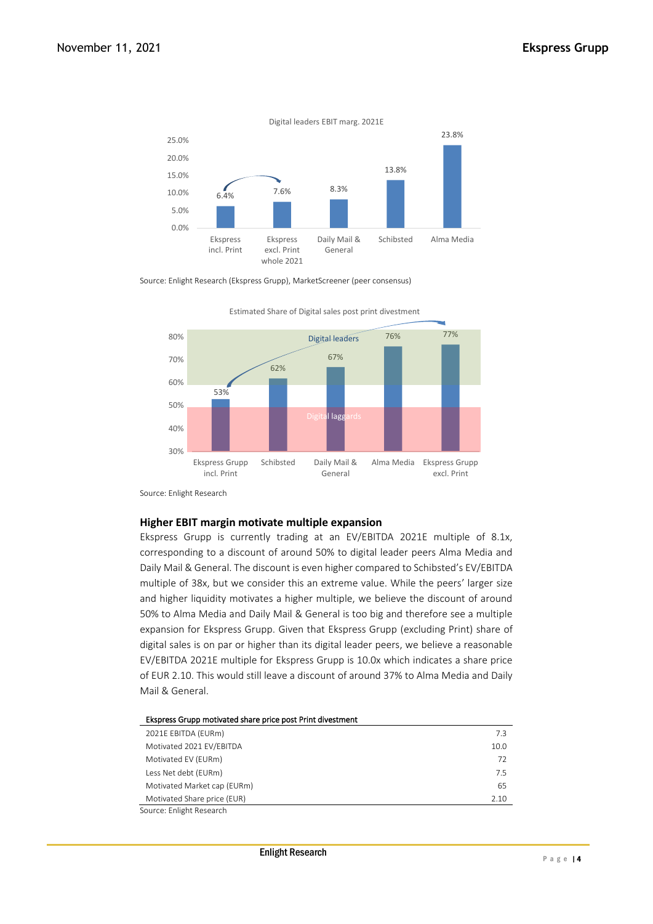

Source: Enlight Research (Ekspress Grupp), MarketScreener (peer consensus)



Estimated Share of Digital sales post print divestment

Source: Enlight Research

#### **Higher EBIT margin motivate multiple expansion**

Ekspress Grupp is currently trading at an EV/EBITDA 2021E multiple of 8.1x, corresponding to a discount of around 50% to digital leader peers Alma Media and Daily Mail & General. The discount is even higher compared to Schibsted's EV/EBITDA multiple of 38x, but we consider this an extreme value. While the peers' larger size and higher liquidity motivates a higher multiple, we believe the discount of around 50% to Alma Media and Daily Mail & General is too big and therefore see a multiple expansion for Ekspress Grupp. Given that Ekspress Grupp (excluding Print) share of digital sales is on par or higher than its digital leader peers, we believe a reasonable EV/EBITDA 2021E multiple for Ekspress Grupp is 10.0x which indicates a share price of EUR 2.10. This would still leave a discount of around 37% to Alma Media and Daily Mail & General.

| Ekspress Grupp motivated share price post Print divestment |      |
|------------------------------------------------------------|------|
| 2021E EBITDA (EURm)                                        | 7.3  |
| Motivated 2021 EV/EBITDA                                   | 10.0 |
| Motivated EV (EURm)                                        | 72   |
| Less Net debt (EURm)                                       | 7.5  |
| Motivated Market cap (EURm)                                | 65   |
| Motivated Share price (EUR)                                | 2.10 |
| Source: Enlight Research                                   |      |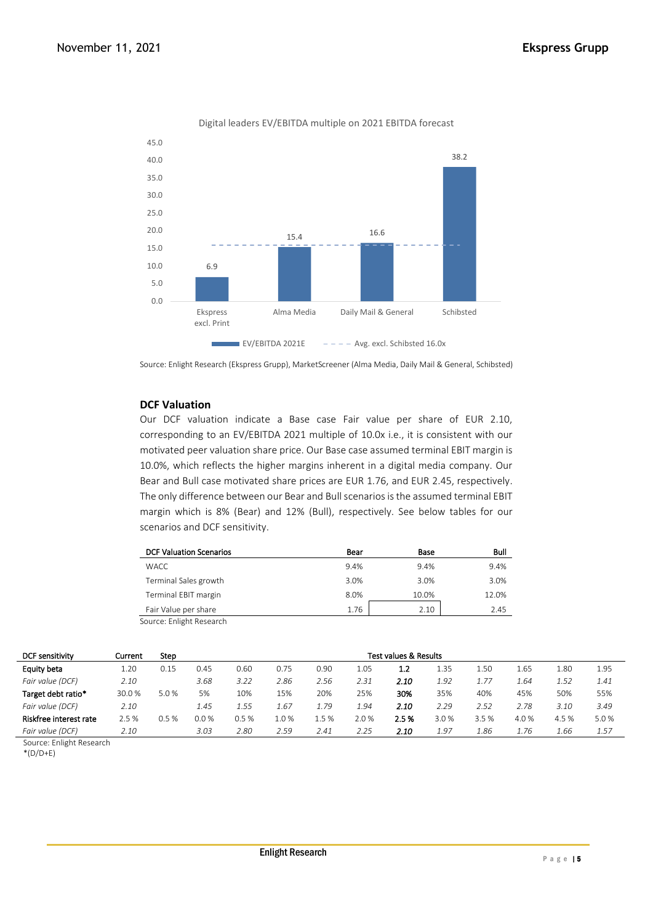

Digital leaders EV/EBITDA multiple on 2021 EBITDA forecast

Source: Enlight Research (Ekspress Grupp), MarketScreener (Alma Media, Daily Mail & General, Schibsted)

### **DCF Valuation**

Our DCF valuation indicate a Base case Fair value per share of EUR 2.10, corresponding to an EV/EBITDA 2021 multiple of 10.0x i.e., it is consistent with our motivated peer valuation share price. Our Base case assumed terminal EBIT margin is 10.0%, which reflects the higher margins inherent in a digital media company. Our Bear and Bull case motivated share prices are EUR 1.76, and EUR 2.45, respectively. The only difference between our Bear and Bull scenarios is the assumed terminal EBIT margin which is 8% (Bear) and 12% (Bull), respectively. See below tables for our scenarios and DCF sensitivity.

| <b>DCF Valuation Scenarios</b> | Bear | Base  | Bull  |
|--------------------------------|------|-------|-------|
| <b>WACC</b>                    | 9.4% | 9.4%  | 9.4%  |
| Terminal Sales growth          | 3.0% | 3.0%  | 3.0%  |
| Terminal EBIT margin           | 8.0% | 10.0% | 12.0% |
| Fair Value per share           | 1.76 | 2.10  | 2.45  |
| Source: Enlight Research       |      |       |       |

| <b>DCF sensitivity</b> | Current | Step |         | <b>Test values &amp; Results</b> |      |       |      |      |      |      |      |       |      |
|------------------------|---------|------|---------|----------------------------------|------|-------|------|------|------|------|------|-------|------|
| Equity beta            | 1.20    | 0.15 | 0.45    | 0.60                             | 0.75 | 0.90  | 1.05 | 1.2  | 1.35 | 1.50 | 1.65 | 1.80  | 1.95 |
| Fair value (DCF)       | 2.10    |      | 3.68    | 3.22                             | 2.86 | 2.56  | 2.31 | 2.10 | 1.92 | 1.77 | 1.64 | 1.52  | 1.41 |
| Target debt ratio*     | 30.0%   | 5.0% | 5%      | 10%                              | 15%  | 20%   | 25%  | 30%  | 35%  | 40%  | 45%  | 50%   | 55%  |
| Fair value (DCF)       | 2.10    |      | 1.45    | 1.55                             | 1.67 | 1.79  | 1.94 | 2.10 | 2.29 | 2.52 | 2.78 | 3.10  | 3.49 |
| Riskfree interest rate | 2.5 %   | 0.5% | $0.0\%$ | 0.5%                             | 1.0% | 1.5 % | 2.0% | 2.5% | 3.0% | 3.5% | 4.0% | 4.5 % | 5.0% |
| Fair value (DCF)       | 2.10    |      | 3.03    | 2.80                             | 2.59 | 2.41  | 2.25 | 2.10 | 1.97 | 1.86 | 1.76 | 1.66  | 1.57 |

Source: Enlight Research

 $*(D/D+E)$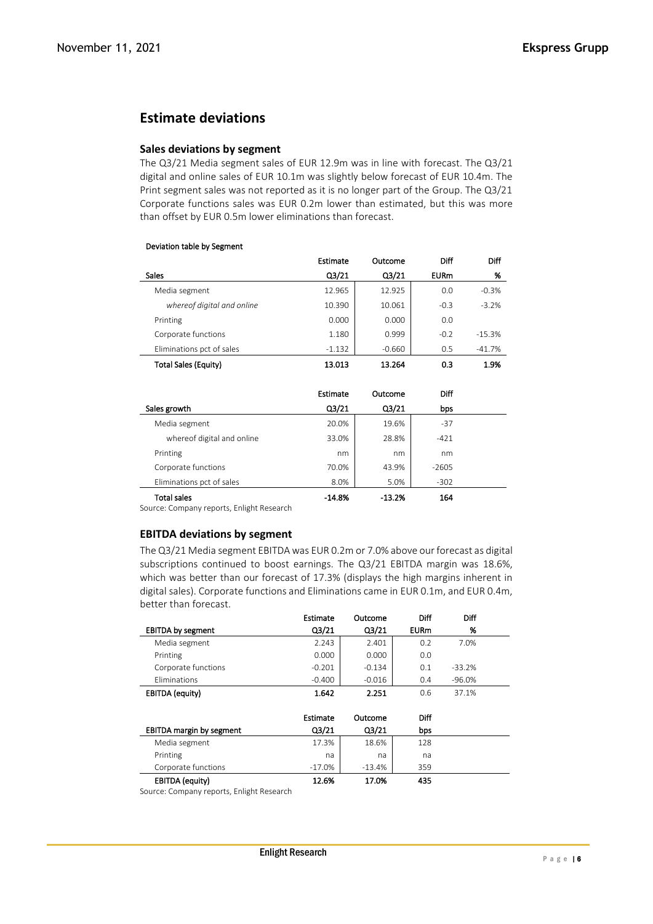## **Estimate deviations**

#### **Sales deviations by segment**

The Q3/21 Media segment sales of EUR 12.9m was in line with forecast. The Q3/21 digital and online sales of EUR 10.1m was slightly below forecast of EUR 10.4m. The Print segment sales was not reported as it is no longer part of the Group. The Q3/21 Corporate functions sales was EUR 0.2m lower than estimated, but this was more than offset by EUR 0.5m lower eliminations than forecast.

| Deviation table by Segment  |                    |                    |             |          |
|-----------------------------|--------------------|--------------------|-------------|----------|
|                             | Estimate           | Outcome            | <b>Diff</b> | Diff     |
| <b>Sales</b>                | Q <sub>3</sub> /21 | Q <sub>3</sub> /21 | <b>EURm</b> | %        |
| Media segment               | 12.965             | 12.925             | 0.0         | $-0.3%$  |
| whereof digital and online  | 10.390             | 10.061             | $-0.3$      | $-3.2%$  |
| Printing                    | 0.000              | 0.000              | 0.0         |          |
| Corporate functions         | 1.180              | 0.999              | $-0.2$      | $-15.3%$ |
| Eliminations pct of sales   | $-1.132$           | $-0.660$           | 0.5         | $-41.7%$ |
| <b>Total Sales (Equity)</b> | 13.013             | 13.264             | 0.3         | 1.9%     |

# Deviation table by Segment

|                            | Estimate | Outcome  | Diff    |  |
|----------------------------|----------|----------|---------|--|
| Sales growth               | Q3/21    | Q3/21    | bps     |  |
| Media segment              | 20.0%    | 19.6%    | $-37$   |  |
| whereof digital and online | 33.0%    | 28.8%    | $-421$  |  |
| Printing                   | nm       | nm       | nm      |  |
| Corporate functions        | 70.0%    | 43.9%    | $-2605$ |  |
| Eliminations pct of sales  | 8.0%     | 5.0%     | $-302$  |  |
| <b>Total sales</b>         | -14.8%   | $-13.2%$ | 164     |  |

Source: Company reports, Enlight Research

#### **EBITDA deviations by segment**

The Q3/21 Media segment EBITDA was EUR 0.2m or 7.0% above our forecast as digital subscriptions continued to boost earnings. The Q3/21 EBITDA margin was 18.6%, which was better than our forecast of 17.3% (displays the high margins inherent in digital sales). Corporate functions and Eliminations came in EUR 0.1m, and EUR 0.4m, better than forecast.

|                                 | Estimate           | Outcome  | <b>Diff</b> | Diff     |  |
|---------------------------------|--------------------|----------|-------------|----------|--|
| <b>EBITDA by segment</b>        | Q3/21              | Q3/21    | <b>EURm</b> | %        |  |
| Media segment                   | 2.243              | 2.401    | 0.2         | 7.0%     |  |
| Printing                        | 0.000              | 0.000    | 0.0         |          |  |
| Corporate functions             | $-0.201$           | $-0.134$ | 0.1         | $-33.2%$ |  |
| <b>Fliminations</b>             | $-0.400$           | $-0.016$ | 0.4         | $-96.0%$ |  |
| <b>EBITDA</b> (equity)          | 1.642              | 2.251    | 0.6         | 37.1%    |  |
|                                 |                    |          |             |          |  |
|                                 | Estimate           | Outcome  | <b>Diff</b> |          |  |
| <b>EBITDA margin by segment</b> | Q <sub>3</sub> /21 | Q3/21    | bps         |          |  |
| Media segment                   | 17.3%              | 18.6%    | 128         |          |  |
| Printing                        | na                 | na       | na          |          |  |
| Corporate functions             | $-17.0\%$          | $-13.4%$ | 359         |          |  |
| EBITDA (equity)                 | 12.6%              | 17.0%    | 435         |          |  |

Source: Company reports, Enlight Research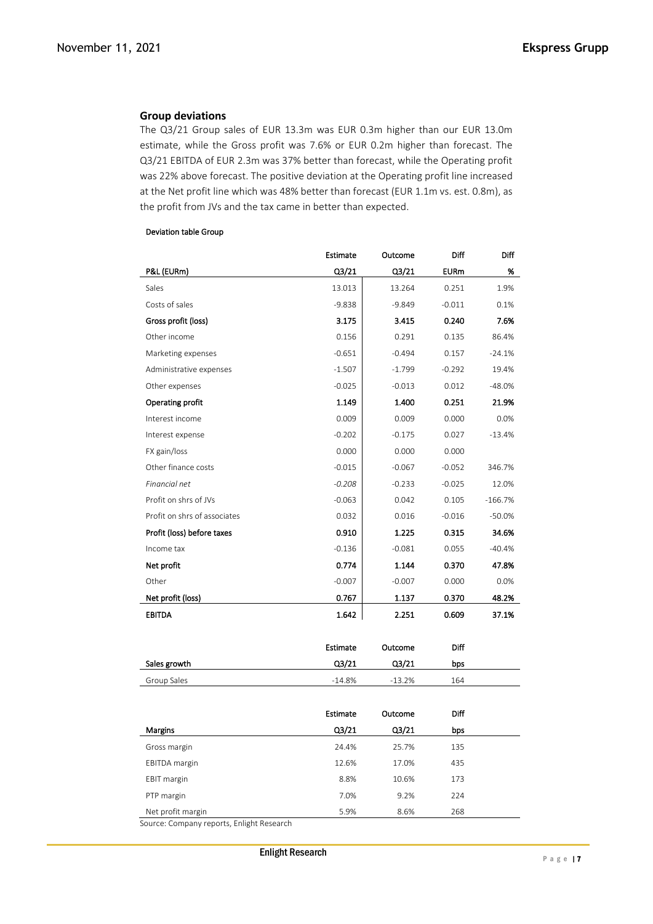### **Group deviations**

The Q3/21 Group sales of EUR 13.3m was EUR 0.3m higher than our EUR 13.0m estimate, while the Gross profit was 7.6% or EUR 0.2m higher than forecast. The Q3/21 EBITDA of EUR 2.3m was 37% better than forecast, while the Operating profit was 22% above forecast. The positive deviation at the Operating profit line increased at the Net profit line which was 48% better than forecast (EUR 1.1m vs. est. 0.8m), as the profit from JVs and the tax came in better than expected.

|                              | Estimate           | Outcome        | Diff        | Diff      |
|------------------------------|--------------------|----------------|-------------|-----------|
| P&L (EURm)                   | Q <sub>3</sub> /21 | Q3/21          | <b>EURm</b> | %         |
| Sales                        | 13.013             | 13.264         | 0.251       | 1.9%      |
| Costs of sales               | $-9.838$           | $-9.849$       | $-0.011$    | 0.1%      |
| Gross profit (loss)          | 3.175              | 3.415          | 0.240       | 7.6%      |
| Other income                 | 0.156              | 0.291          | 0.135       | 86.4%     |
| Marketing expenses           | $-0.651$           | $-0.494$       | 0.157       | $-24.1%$  |
| Administrative expenses      | $-1.507$           | $-1.799$       | $-0.292$    | 19.4%     |
| Other expenses               | $-0.025$           | $-0.013$       | 0.012       | -48.0%    |
| Operating profit             | 1.149              | 1.400          | 0.251       | 21.9%     |
| Interest income              | 0.009              | 0.009          | 0.000       | 0.0%      |
| Interest expense             | $-0.202$           | $-0.175$       | 0.027       | $-13.4%$  |
| FX gain/loss                 | 0.000              | 0.000          | 0.000       |           |
| Other finance costs          | $-0.015$           | $-0.067$       | $-0.052$    | 346.7%    |
| Financial net                | $-0.208$           | $-0.233$       | $-0.025$    | 12.0%     |
| Profit on shrs of JVs        | $-0.063$           | 0.042          | 0.105       | $-166.7%$ |
| Profit on shrs of associates | 0.032              | 0.016          | $-0.016$    | $-50.0%$  |
| Profit (loss) before taxes   | 0.910              | 1.225          | 0.315       | 34.6%     |
| Income tax                   | $-0.136$           | $-0.081$       | 0.055       | $-40.4%$  |
| Net profit                   | 0.774              | 1.144          | 0.370       | 47.8%     |
| Other                        | $-0.007$           | $-0.007$       | 0.000       | 0.0%      |
| Net profit (loss)            | 0.767              | 1.137          | 0.370       | 48.2%     |
| <b>EBITDA</b>                | 1.642              | 2.251          | 0.609       | 37.1%     |
|                              | <b>Estimate</b>    | Outcome        | Diff        |           |
| Sales growth                 | Q3/21              | Q3/21          | bps         |           |
| Group Sales                  | $-14.8%$           | $-13.2%$       | 164         |           |
|                              | <b>Estimate</b>    |                | Diff        |           |
|                              |                    | Outcome        |             |           |
| Margins                      | Q3/21<br>24.4%     | Q3/21<br>25.7% | bps<br>135  |           |
| Gross margin                 |                    |                |             |           |
| <b>EBITDA</b> margin         | 12.6%<br>8.8%      | 17.0%          | 435         |           |
| <b>EBIT margin</b>           |                    | 10.6%          | 173         |           |

#### Deviation table Group

Net profit margin 5.9% 8.6% 268 Source: Company reports, Enlight Research

PTP margin 224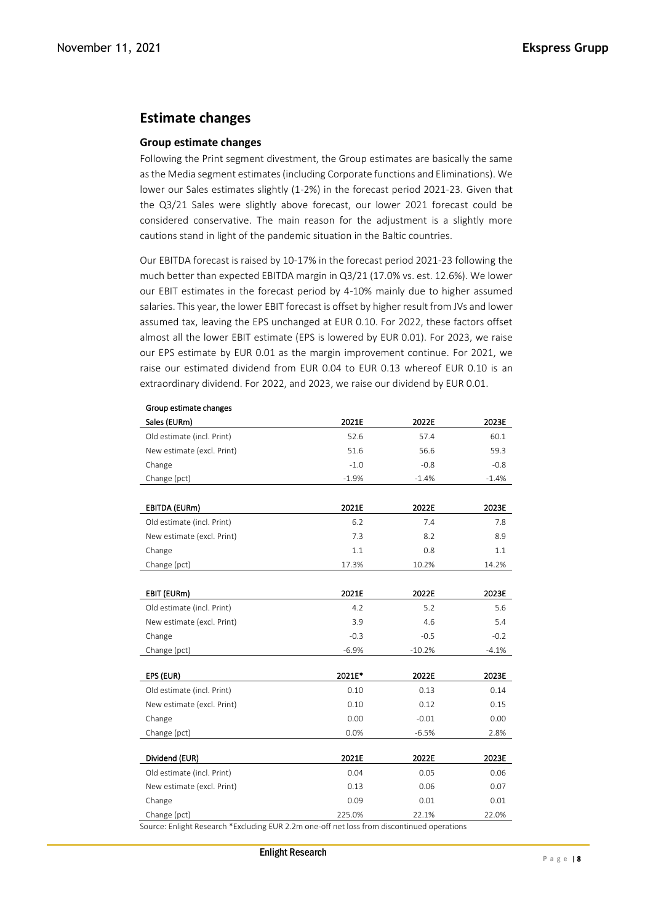## **Estimate changes**

### **Group estimate changes**

Following the Print segment divestment, the Group estimates are basically the same as the Media segment estimates (including Corporate functions and Eliminations). We lower our Sales estimates slightly (1-2%) in the forecast period 2021-23. Given that the Q3/21 Sales were slightly above forecast, our lower 2021 forecast could be considered conservative. The main reason for the adjustment is a slightly more cautions stand in light of the pandemic situation in the Baltic countries.

Our EBITDA forecast is raised by 10-17% in the forecast period 2021-23 following the much better than expected EBITDA margin in Q3/21 (17.0% vs. est. 12.6%). We lower our EBIT estimates in the forecast period by 4-10% mainly due to higher assumed salaries. This year, the lower EBIT forecast is offset by higher result from JVs and lower assumed tax, leaving the EPS unchanged at EUR 0.10. For 2022, these factors offset almost all the lower EBIT estimate (EPS is lowered by EUR 0.01). For 2023, we raise our EPS estimate by EUR 0.01 as the margin improvement continue. For 2021, we raise our estimated dividend from EUR 0.04 to EUR 0.13 whereof EUR 0.10 is an extraordinary dividend. For 2022, and 2023, we raise our dividend by EUR 0.01.

| Sales (EURm)                                                                                                | 2021E   | 2022E    | 2023E   |
|-------------------------------------------------------------------------------------------------------------|---------|----------|---------|
| Old estimate (incl. Print)                                                                                  | 52.6    | 57.4     | 60.1    |
| New estimate (excl. Print)                                                                                  | 51.6    | 56.6     | 59.3    |
| Change                                                                                                      | $-1.0$  | $-0.8$   | $-0.8$  |
| Change (pct)                                                                                                | $-1.9%$ | $-1.4%$  | $-1.4%$ |
|                                                                                                             |         |          |         |
| EBITDA (EURm)                                                                                               | 2021E   | 2022E    | 2023E   |
| Old estimate (incl. Print)                                                                                  | 6.2     | 7.4      | 7.8     |
| New estimate (excl. Print)                                                                                  | 7.3     | 8.2      | 8.9     |
| Change                                                                                                      | 1.1     | 0.8      | 1.1     |
| Change (pct)                                                                                                | 17.3%   | 10.2%    | 14.2%   |
|                                                                                                             |         |          |         |
| EBIT (EURm)                                                                                                 | 2021E   | 2022E    | 2023E   |
| Old estimate (incl. Print)                                                                                  | 4.2     | 5.2      | 5.6     |
| New estimate (excl. Print)                                                                                  | 3.9     | 4.6      | 5.4     |
| Change                                                                                                      | $-0.3$  | $-0.5$   | $-0.2$  |
| Change (pct)                                                                                                | $-6.9%$ | $-10.2%$ | $-4.1%$ |
|                                                                                                             |         |          |         |
| EPS (EUR)                                                                                                   | 2021E*  | 2022E    | 2023E   |
| Old estimate (incl. Print)                                                                                  | 0.10    | 0.13     | 0.14    |
| New estimate (excl. Print)                                                                                  | 0.10    | 0.12     | 0.15    |
| Change                                                                                                      | 0.00    | $-0.01$  | 0.00    |
| Change (pct)                                                                                                | 0.0%    | $-6.5%$  | 2.8%    |
|                                                                                                             |         |          |         |
| Dividend (EUR)                                                                                              | 2021E   | 2022E    | 2023E   |
| Old estimate (incl. Print)                                                                                  | 0.04    | 0.05     | 0.06    |
| New estimate (excl. Print)                                                                                  | 0.13    | 0.06     | 0.07    |
| Change                                                                                                      | 0.09    | 0.01     | 0.01    |
| Change (pct)<br>Source: Eplight Research *Excluding ELIR 2.2m one-off net loss from discontinued operations | 225.0%  | 22.1%    | 22.0%   |

## Group estimate changes

urce: Enlight Research \*Excluding EUR 2.2m one-off net loss from discontinu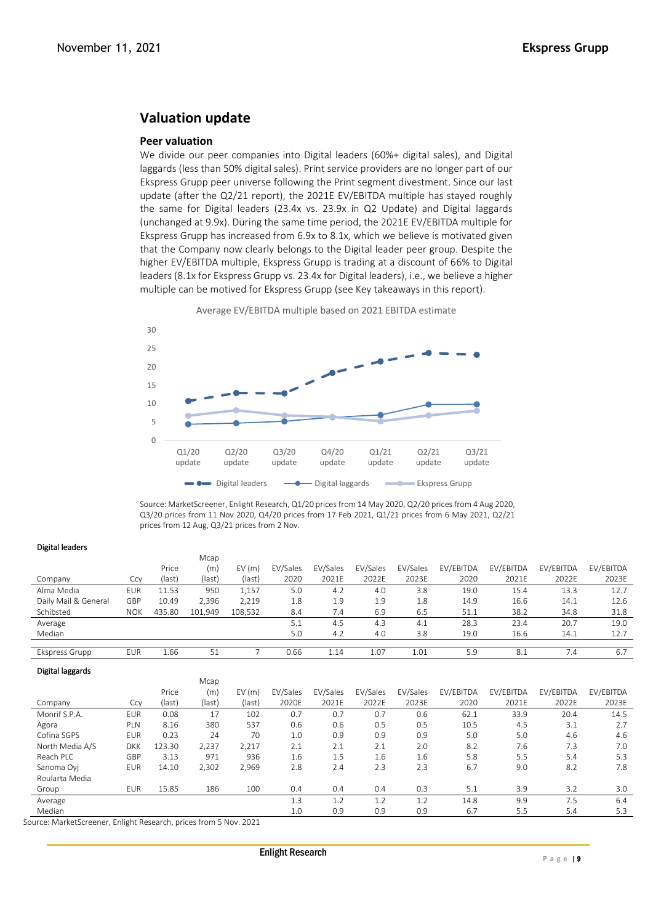# **Valuation update**

#### **Peer valuation**

We divide our peer companies into Digital leaders (60%+ digital sales), and Digital laggards (less than 50% digital sales). Print service providers are no longer part of our Ekspress Grupp peer universe following the Print segment divestment. Since our last update (after the Q2/21 report), the 2021E EV/EBITDA multiple has stayed roughly the same for Digital leaders (23.4x vs. 23.9x in Q2 Update) and Digital laggards (unchanged at 9.9x). During the same time period, the 2021E EV/EBITDA multiple for Ekspress Grupp has increased from 6.9x to 8.1x, which we believe is motivated given that the Company now clearly belongs to the Digital leader peer group. Despite the higher EV/EBITDA multiple, Ekspress Grupp is trading at a discount of 66% to Digital leaders (8.1x for Ekspress Grupp vs. 23.4x for Digital leaders), i.e., we believe a higher multiple can be motived for Ekspress Grupp (see Key takeaways in this report).





Source: MarketScreener, Enlight Research, Q1/20 prices from 14 May 2020, Q2/20 prices from 4 Aug 2020, Q3/20 prices from 11 Nov 2020, Q4/20 prices from 17 Feb 2021, Q1/21 prices from 6 May 2021, Q2/21 prices from 12 Aug, Q3/21 prices from 2 Nov.

#### Digital leaders

| ------------         |            |        |         |         |          |          |          |          |           |           |           |           |
|----------------------|------------|--------|---------|---------|----------|----------|----------|----------|-----------|-----------|-----------|-----------|
|                      |            |        | Mcap    |         |          |          |          |          |           |           |           |           |
|                      |            | Price  | (m)     | EV(m)   | EV/Sales | EV/Sales | EV/Sales | EV/Sales | EV/EBITDA | EV/EBITDA | EV/EBITDA | EV/EBITDA |
| Company              | Ccy        | (last) | (last)  | (last)  | 2020     | 2021E    | 2022E    | 2023E    | 2020      | 2021E     | 2022E     | 2023E     |
| Alma Media           | EUR        | 11.53  | 950     | 1,157   | 5.0      | 4.2      | 4.0      | 3.8      | 19.0      | 15.4      | 13.3      | 12.7      |
| Daily Mail & General | GBP        | 10.49  | 2,396   | 2,219   | 1.8      | 1.9      | 1.9      | 1.8      | 14.9      | 16.6      | 14.1      | 12.6      |
| Schibsted            | <b>NOK</b> | 435.80 | 101,949 | 108,532 | 8.4      | 7.4      | 6.9      | 6.5      | 51.1      | 38.2      | 34.8      | 31.8      |
| Average              |            |        |         |         | 5.1      | 4.5      | 4.3      | 4.1      | 28.3      | 23.4      | 20.7      | 19.0      |
| Median               |            |        |         |         | 5.0      | 4.2      | 4.0      | 3.8      | 19.0      | 16.6      | 14.1      | 12.7      |
|                      |            |        |         |         |          |          |          |          |           |           |           |           |
| Ekspress Grupp       | EUR        | 1.66   | 51      |         | 0.66     | 1.14     | 1.07     | 1.01     | 5.9       | 8.1       | 7.4       | 6.7       |

#### Digital laggards

|                 |            |        | <b>IVICAD</b> |        |          |          |          |          |           |           |           |           |
|-----------------|------------|--------|---------------|--------|----------|----------|----------|----------|-----------|-----------|-----------|-----------|
|                 |            | Price  | (m)           | EV(m)  | EV/Sales | EV/Sales | EV/Sales | EV/Sales | EV/EBITDA | EV/EBITDA | EV/EBITDA | EV/EBITDA |
| Company         | Ccy        | (last) | (last)        | (last) | 2020E    | 2021E    | 2022E    | 2023E    | 2020      | 2021E     | 2022E     | 2023E     |
| Monrif S.P.A.   | <b>EUR</b> | 0.08   | 17            | 102    | 0.7      | 0.7      | 0.7      | 0.6      | 62.1      | 33.9      | 20.4      | 14.5      |
| Agora           | PLN        | 8.16   | 380           | 537    | 0.6      | 0.6      | 0.5      | 0.5      | 10.5      | 4.5       | 3.1       | 2.7       |
| Cofina SGPS     | <b>EUR</b> | 0.23   | 24            | 70     | 1.0      | 0.9      | 0.9      | 0.9      | 5.0       | 5.0       | 4.6       | 4.6       |
| North Media A/S | <b>DKK</b> | 123.30 | 2,237         | 2,217  | 2.1      | 2.1      | 2.1      | 2.0      | 8.2       | 7.6       | 7.3       | 7.0       |
| Reach PLC       | GBP        | 3.13   | 971           | 936    | 1.6      | 1.5      | 1.6      | 1.6      | 5.8       | 5.5       | 5.4       | 5.3       |
| Sanoma Ovi      | <b>EUR</b> | 14.10  | 2,302         | 2,969  | 2.8      | 2.4      | 2.3      | 2.3      | 6.7       | 9.0       | 8.2       | 7.8       |
| Roularta Media  |            |        |               |        |          |          |          |          |           |           |           |           |
| Group           | <b>EUR</b> | 15.85  | 186           | 100    | 0.4      | 0.4      | 0.4      | 0.3      | 5.1       | 3.9       | 3.2       | 3.0       |
| Average         |            |        |               |        | 1.3      | 1.2      | 1.2      |          | 14.8      | 9.9       | 7.5       | 6.4       |
| Median          |            |        |               |        | 1.0      | 0.9      | 0.9      | 0.9      | 6.7       | 5.5       | 5.4       | 5.3       |

Source: MarketScreener, Enlight Research, prices from 5 Nov. 2021

 $\ddot{\phantom{a}}$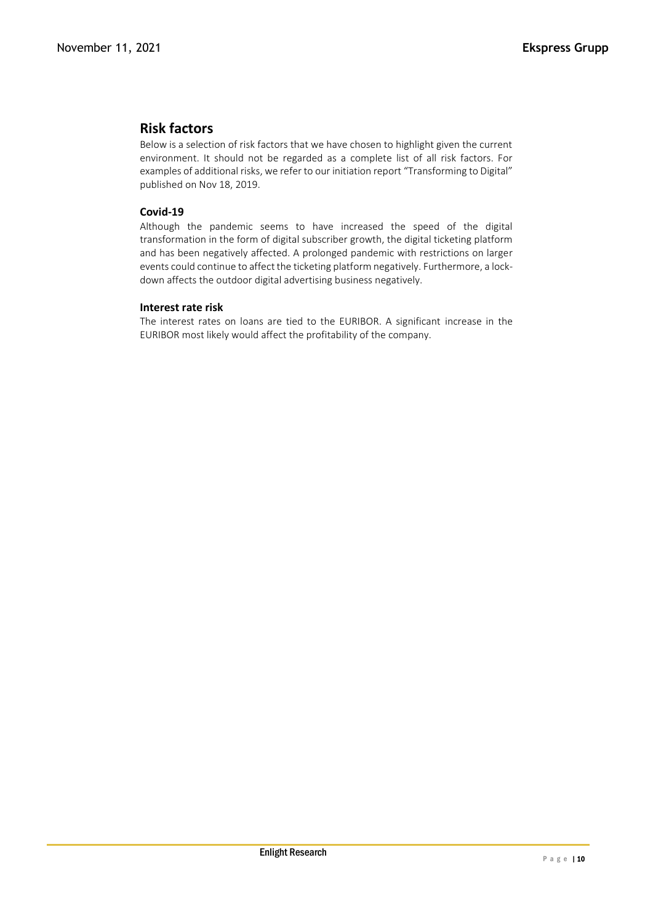# **Risk factors**

Below is a selection of risk factors that we have chosen to highlight given the current environment. It should not be regarded as a complete list of all risk factors. For examples of additional risks, we refer to our initiation report "Transforming to Digital" published on Nov 18, 2019.

## **Covid-19**

Although the pandemic seems to have increased the speed of the digital transformation in the form of digital subscriber growth, the digital ticketing platform and has been negatively affected. A prolonged pandemic with restrictions on larger events could continue to affect the ticketing platform negatively. Furthermore, a lockdown affects the outdoor digital advertising business negatively.

### **Interest rate risk**

The interest rates on loans are tied to the EURIBOR. A significant increase in the EURIBOR most likely would affect the profitability of the company.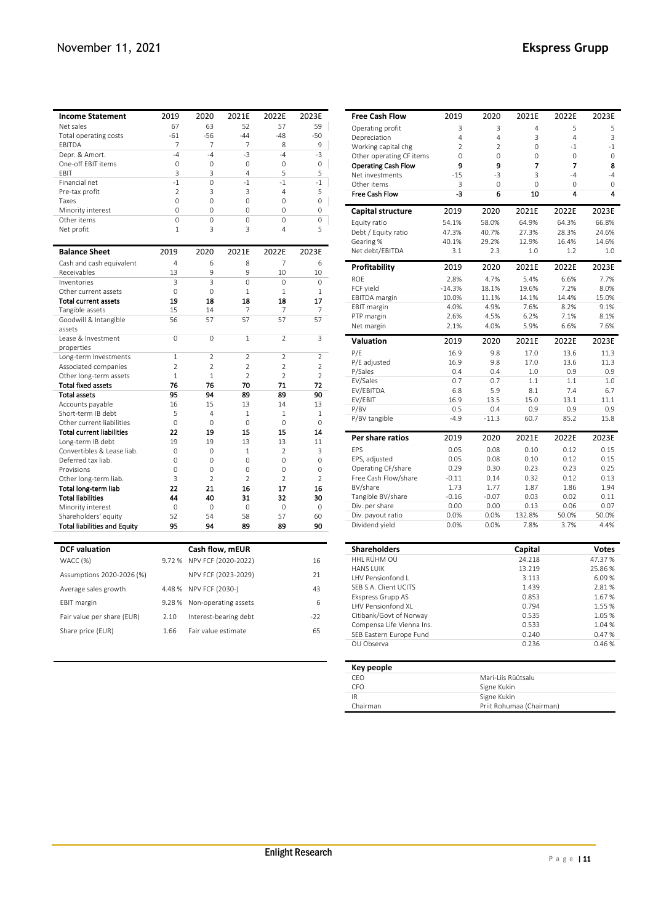| <b>Income Statement</b>                               | 2019           | 2020                  | 2021E               | 2022E               | 2023E          |
|-------------------------------------------------------|----------------|-----------------------|---------------------|---------------------|----------------|
| Net sales                                             | 67             | 63                    | 52                  | 57                  | 59             |
| Total operating costs                                 | $-61$          | $-56$                 | $-44$               | $-48$               | $-50$          |
| EBITDA                                                | 7              | 7                     | 7                   | 8                   | 9              |
| Depr. & Amort.                                        | $-4$           | $-4$                  | $-3$                | $-4$                | $-3$           |
| One-off EBIT items                                    | $\mathbf 0$    | $\mathbf 0$           | 0                   | $\mathbf 0$         | 0              |
| FBIT                                                  | 3              | 3                     | 4                   | 5                   | 5              |
| Financial net                                         | $-1$           | $\Omega$              | $-1$                | $-1$                | $-1$           |
| Pre-tax profit                                        | $\overline{2}$ | 3                     | 3                   | $\overline{a}$      | 5              |
| Taxes                                                 | $\Omega$       | $\Omega$              | $\Omega$            | $\Omega$            | 0              |
| Minority interest                                     | $\mathbf 0$    | $\Omega$              | 0                   | 0                   | 0              |
| Other items                                           | 0              | $\Omega$<br>3         | 0<br>3              | 0<br>$\overline{4}$ | 0<br>5         |
| Net profit                                            | 1              |                       |                     |                     |                |
| <b>Balance Sheet</b>                                  | 2019           | 2020                  | 2021E               | 2022E               | 2023E          |
| Cash and cash equivalent                              | $\overline{4}$ | 6                     | 8                   | 7                   | 6              |
| Receivables                                           | 13             | 9                     | 9                   | 10                  | 10             |
| Inventories                                           | 3              | 3                     | $\Omega$            | $\Omega$            | $\Omega$       |
| Other current assets                                  | $\Omega$       | $\Omega$              | $\mathbf{1}$        | $\mathbf{1}$        | $1\,$          |
| <b>Total current assets</b>                           | 19             | 18                    | 18                  | 18                  | 17             |
| Tangible assets                                       | 15             | 14                    | 7                   | 7                   | 7              |
| Goodwill & Intangible<br>assets                       | 56             | 57                    | 57                  | 57                  | 57             |
| Lease & Investment                                    | $\mathbf 0$    | $\mathbf 0$           | $\mathbf{1}$        | $\overline{2}$      | 3              |
| properties                                            |                |                       |                     |                     |                |
| Long-term Investments                                 | $\mathbf{1}$   | $\overline{2}$        | $\overline{2}$      | $\overline{2}$      | $\overline{2}$ |
| Associated companies                                  | $\overline{2}$ | $\overline{2}$        | $\overline{2}$      | $\overline{2}$      | $\overline{2}$ |
| Other long-term assets                                | $\mathbf{1}$   | $\mathbf{1}$          | $\overline{2}$      | $\overline{2}$      | $\overline{2}$ |
| <b>Total fixed assets</b>                             | 76             | 76                    | 70                  | 71                  | 72             |
| <b>Total assets</b>                                   | 95             | 94                    | 89                  | 89                  | 90             |
| Accounts payable                                      | 16             | 15                    | 13                  | 14                  | 13             |
| Short-term IB debt                                    | 5              | 4                     | $\mathbf{1}$        | $\overline{1}$      | 1              |
| Other current liabilities                             | $\Omega$<br>22 | $\Omega$<br>19        | $\Omega$<br>15      | $\Omega$<br>15      | 0<br>14        |
| <b>Total current liabilities</b><br>Long-term IB debt | 19             | 19                    | 13                  | 13                  |                |
| Convertibles & Lease liab.                            | 0              | 0                     | 1                   | 2                   | 11<br>3        |
| Deferred tax liab.                                    | $\mathbf 0$    | 0                     | 0                   | $\mathbf 0$         | 0              |
| Provisions                                            | $\Omega$       | $\Omega$              | $\Omega$            | $\Omega$            | 0              |
| Other long-term liab.                                 | 3              | $\overline{2}$        | $\overline{2}$      | $\overline{2}$      | $\overline{2}$ |
| Total long-term liab                                  | 22             | 21                    | 16                  | 17                  | 16             |
| <b>Total liabilities</b>                              | 44             | 40                    | 31                  | 32                  | 30             |
| Minority interest                                     | 0              | 0                     | 0                   | $\mathbf 0$         | 0              |
| Shareholders' equity                                  | 52             | 54                    | 58                  | 57                  | 60             |
| <b>Total liabilities and Equity</b>                   | 95             | 94                    | 89                  | 89                  | 90             |
| <b>DCF</b> valuation                                  |                | Cash flow, mEUR       |                     |                     |                |
| WACC (%)                                              | 9.72%          |                       | NPV FCF (2020-2022) |                     | 16             |
| Assumptions 2020-2026 (%)                             |                |                       | NPV FCF (2023-2029) |                     | 21             |
| Average sales growth                                  | 4.48%          | NPV FCF (2030-)       |                     |                     | 43             |
| <b>EBIT</b> margin                                    | 9.28%          | Non-operating assets  |                     |                     | 6              |
| Fair value per share (EUR)                            | 2.10           | Interest-bearing debt |                     |                     | $-22$          |
| Share price (EUR)                                     | 1.66           | Fair value estimate   |                     |                     | 65             |

| <b>Free Cash Flow</b>              | 2019     | 2020        | 2021E                    | 2022E          | 2023E                  |
|------------------------------------|----------|-------------|--------------------------|----------------|------------------------|
| Operating profit                   | 3        | 3           | 4                        | 5              | 5                      |
| Depreciation                       | 4        | 4           | 3                        | $\overline{4}$ | 3                      |
| Working capital chg                | 2        | 2           | 0                        | $-1$           | $-1$                   |
| Other operating CF items           | 0        | 0           | $\Omega$                 | $\Omega$       | 0                      |
| <b>Operating Cash Flow</b>         | 9        | 9           | 7                        | 7              | 8                      |
| Net investments                    | $-15$    | $-3$        | 3                        | $-4$           | $-4$                   |
| Other items                        | 3        | 0           | $\mathbf 0$              | 0              | 0                      |
| <b>Free Cash Flow</b>              | -3       | 6           | 10                       | 4              | 4                      |
| Capital structure                  | 2019     | 2020        | 2021E                    | 2022E          | 2023E                  |
| Equity ratio                       | 54.1%    | 58.0%       | 64.9%                    | 64.3%          | 66.8%                  |
| Debt / Equity ratio                | 47.3%    | 40.7%       | 27.3%                    | 28.3%          | 24.6%                  |
| Gearing %                          | 40.1%    | 29.2%       | 12.9%                    | 16.4%          | 14.6%                  |
| Net debt/EBITDA                    | 3.1      | 2.3         | 1.0                      | 1.2            | 1.0                    |
| <b>Profitability</b>               | 2019     | 2020        | 2021E                    | 2022E          | 2023E                  |
| ROE                                | 2.8%     | 4.7%        | 5.4%                     | 6.6%           | 7.7%                   |
| FCF yield                          | $-14.3%$ | 18.1%       | 19.6%                    | 7.2%           | 8.0%                   |
| <b>EBITDA</b> margin               | 10.0%    | 11.1%       | 14.1%                    | 14.4%          | 15.0%                  |
| <b>EBIT margin</b>                 | 4.0%     | 4.9%        | 7.6%                     | 8.2%           | 9.1%                   |
| PTP margin                         | 2.6%     | 4.5%        | 6.2%                     | 7.1%           | 8.1%                   |
| Net margin                         | 2.1%     | 4.0%        | 5.9%                     | 6.6%           | 7.6%                   |
| <b>Valuation</b>                   | 2019     | 2020        | 2021E                    | 2022E          | 2023E                  |
| P/E                                | 16.9     | 9.8         | 17.0                     | 13.6           | 11.3                   |
| P/E adjusted                       | 16.9     | 9.8         | 17.0                     | 13.6           | 11.3                   |
| P/Sales                            | 0.4      | 0.4         | 1.0                      | 0.9            | 0.9                    |
| EV/Sales                           | 0.7      | 0.7         | 1.1                      | 1.1            | 1.0                    |
| EV/EBITDA                          | 6.8      | 5.9         | 8.1                      | 7.4            | 6.7                    |
| EV/EBIT                            | 16.9     | 13.5        | 15.0                     | 13.1           | 11.1                   |
| P/BV                               | 0.5      | 0.4         | 0.9                      | 0.9            | 0.9                    |
| P/BV tangible                      | $-4.9$   | $-11.3$     | 60.7                     | 85.2           | 15.8                   |
| Per share ratios                   | 2019     | 2020        | 2021E                    | 2022E          | 2023E                  |
| EPS                                | 0.05     | 0.08        | 0.10                     | 0.12           | 0.15                   |
| EPS, adjusted                      | 0.05     | 0.08        | 0.10                     | 0.12           | 0.15                   |
| Operating CF/share                 | 0.29     | 0.30        | 0.23                     | 0.23           | 0.25                   |
| Free Cash Flow/share               | $-0.11$  | 0.14        | 0.32                     | 0.12           | 0.13                   |
| BV/share                           | 1.73     | 1.77        | 1.87                     | 1.86           | 1.94                   |
| Tangible BV/share                  | $-0.16$  | $-0.07$     | 0.03                     | 0.02           | 0.11                   |
| Div. per share                     | 0.00     | 0.00        | 0.13                     | 0.06           | 0.07                   |
| Div. payout ratio                  | 0.0%     | 0.0%        | 132.8%                   | 50.0%          | 50.0%                  |
| Dividend yield                     | 0.0%     | 0.0%        | 7.8%                     | 3.7%           | 4.4%                   |
|                                    |          |             |                          |                |                        |
| <b>Shareholders</b><br>HHL RÜHM OÜ |          |             | Capital<br>24.218        |                | <b>Votes</b><br>47.37% |
| <b>HANS LUIK</b>                   |          |             | 13.219                   |                | 25.86%                 |
| LHV Pensionfond L                  |          |             | 3.113                    |                | 6.09%                  |
| SEB S.A. Client UCITS              |          |             | 1.439                    |                | 2.81%                  |
| Ekspress Grupp AS                  |          |             | 0.853                    |                | 1.67 %                 |
| LHV Pensionfond XL                 |          |             | 0.794                    |                | 1.55%                  |
| Citibank/Govt of Norway            |          |             | 0.535                    |                | 1.05 %                 |
| Compensa Life Vienna Ins.          |          |             | 0.533                    |                | 1.04 %                 |
| SEB Eastern Europe Fund            |          |             | 0.240                    |                | 0.47%                  |
| OU Observa                         |          |             | 0.236                    |                | 0.46%                  |
|                                    |          |             |                          |                |                        |
| Key people<br>CEO                  |          |             | Mari-Liis Rüütsalu       |                |                        |
| CFO                                |          | Signe Kukin |                          |                |                        |
| IR                                 |          | Signe Kukin |                          |                |                        |
| Chairman                           |          |             | Priit Rohumaa (Chairman) |                |                        |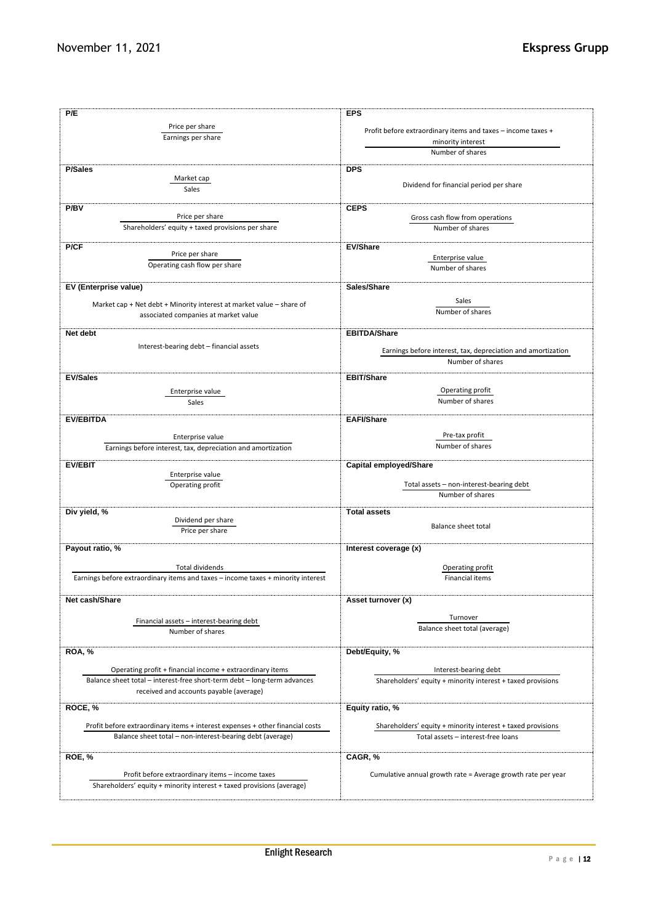| P/E                                                                                                                                        | <b>EPS</b>                                                                                        |  |  |  |
|--------------------------------------------------------------------------------------------------------------------------------------------|---------------------------------------------------------------------------------------------------|--|--|--|
| Price per share                                                                                                                            |                                                                                                   |  |  |  |
| Earnings per share                                                                                                                         | Profit before extraordinary items and taxes - income taxes +                                      |  |  |  |
|                                                                                                                                            | minority interest<br>Number of shares                                                             |  |  |  |
|                                                                                                                                            |                                                                                                   |  |  |  |
| <b>P/Sales</b>                                                                                                                             | <b>DPS</b>                                                                                        |  |  |  |
| Market cap                                                                                                                                 | Dividend for financial period per share                                                           |  |  |  |
| Sales                                                                                                                                      |                                                                                                   |  |  |  |
| P/BV                                                                                                                                       | <b>CEPS</b>                                                                                       |  |  |  |
| Price per share                                                                                                                            | Gross cash flow from operations                                                                   |  |  |  |
| Shareholders' equity + taxed provisions per share                                                                                          | Number of shares                                                                                  |  |  |  |
|                                                                                                                                            |                                                                                                   |  |  |  |
| P/CF<br>Price per share                                                                                                                    | <b>EV/Share</b>                                                                                   |  |  |  |
| Operating cash flow per share                                                                                                              | Enterprise value<br>Number of shares                                                              |  |  |  |
|                                                                                                                                            |                                                                                                   |  |  |  |
| EV (Enterprise value)                                                                                                                      | Sales/Share                                                                                       |  |  |  |
|                                                                                                                                            | Sales                                                                                             |  |  |  |
| Market cap + Net debt + Minority interest at market value - share of                                                                       | Number of shares                                                                                  |  |  |  |
| associated companies at market value                                                                                                       |                                                                                                   |  |  |  |
| Net debt                                                                                                                                   | <b>EBITDA/Share</b>                                                                               |  |  |  |
| Interest-bearing debt - financial assets                                                                                                   |                                                                                                   |  |  |  |
|                                                                                                                                            | Earnings before interest, tax, depreciation and amortization<br>Number of shares                  |  |  |  |
|                                                                                                                                            |                                                                                                   |  |  |  |
| <b>EV/Sales</b>                                                                                                                            | <b>EBIT/Share</b>                                                                                 |  |  |  |
| Enterprise value                                                                                                                           | Operating profit                                                                                  |  |  |  |
| Sales                                                                                                                                      | Number of shares                                                                                  |  |  |  |
|                                                                                                                                            |                                                                                                   |  |  |  |
| <b>EV/EBITDA</b>                                                                                                                           | <b>EAFI/Share</b>                                                                                 |  |  |  |
| Enterprise value                                                                                                                           | Pre-tax profit                                                                                    |  |  |  |
| Earnings before interest, tax, depreciation and amortization                                                                               | Number of shares                                                                                  |  |  |  |
| <b>EV/EBIT</b>                                                                                                                             | Capital employed/Share                                                                            |  |  |  |
| Enterprise value                                                                                                                           |                                                                                                   |  |  |  |
| Operating profit                                                                                                                           | Total assets - non-interest-bearing debt                                                          |  |  |  |
|                                                                                                                                            | Number of shares                                                                                  |  |  |  |
| Div yield, %                                                                                                                               | <b>Total assets</b>                                                                               |  |  |  |
| Dividend per share                                                                                                                         |                                                                                                   |  |  |  |
| Price per share                                                                                                                            | <b>Balance sheet total</b>                                                                        |  |  |  |
| Payout ratio, %                                                                                                                            | Interest coverage (x)                                                                             |  |  |  |
|                                                                                                                                            |                                                                                                   |  |  |  |
| <b>Total dividends</b>                                                                                                                     | Operating profit                                                                                  |  |  |  |
| Earnings before extraordinary items and taxes - income taxes + minority interest                                                           | <b>Financial items</b>                                                                            |  |  |  |
|                                                                                                                                            |                                                                                                   |  |  |  |
| Net cash/Share                                                                                                                             | Asset turnover (x)                                                                                |  |  |  |
|                                                                                                                                            | Turnover                                                                                          |  |  |  |
| Financial assets - interest-bearing debt<br>Number of shares                                                                               | Balance sheet total (average)                                                                     |  |  |  |
|                                                                                                                                            |                                                                                                   |  |  |  |
| <b>ROA, %</b>                                                                                                                              | Debt/Equity, %                                                                                    |  |  |  |
|                                                                                                                                            |                                                                                                   |  |  |  |
| Operating profit + financial income + extraordinary items                                                                                  | Interest-bearing debt                                                                             |  |  |  |
| Balance sheet total - interest-free short-term debt - long-term advances                                                                   | Shareholders' equity + minority interest + taxed provisions                                       |  |  |  |
| received and accounts payable (average)                                                                                                    |                                                                                                   |  |  |  |
| ROCE, %                                                                                                                                    | Equity ratio, %                                                                                   |  |  |  |
|                                                                                                                                            |                                                                                                   |  |  |  |
| Profit before extraordinary items + interest expenses + other financial costs<br>Balance sheet total - non-interest-bearing debt (average) | Shareholders' equity + minority interest + taxed provisions<br>Total assets - interest-free loans |  |  |  |
|                                                                                                                                            |                                                                                                   |  |  |  |
| ROE, %                                                                                                                                     | CAGR, %                                                                                           |  |  |  |
|                                                                                                                                            |                                                                                                   |  |  |  |
| Profit before extraordinary items - income taxes                                                                                           | Cumulative annual growth rate = Average growth rate per year                                      |  |  |  |
| Shareholders' equity + minority interest + taxed provisions (average)                                                                      |                                                                                                   |  |  |  |
|                                                                                                                                            |                                                                                                   |  |  |  |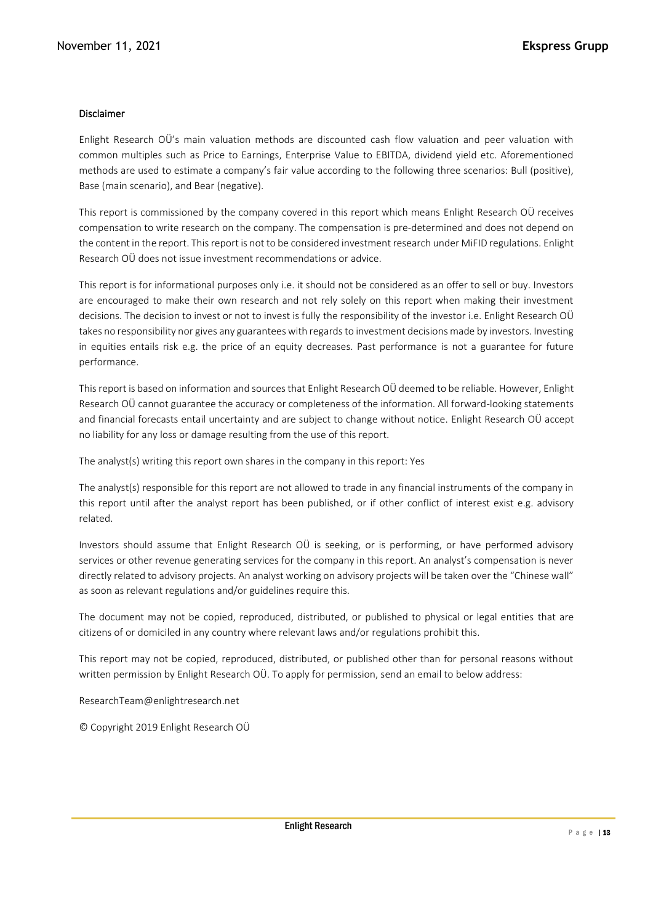#### Disclaimer

Enlight Research OÜ's main valuation methods are discounted cash flow valuation and peer valuation with common multiples such as Price to Earnings, Enterprise Value to EBITDA, dividend yield etc. Aforementioned methods are used to estimate a company's fair value according to the following three scenarios: Bull (positive), Base (main scenario), and Bear (negative).

This report is commissioned by the company covered in this report which means Enlight Research OÜ receives compensation to write research on the company. The compensation is pre-determined and does not depend on the content in the report. This report is not to be considered investment research under MiFID regulations. Enlight Research OÜ does not issue investment recommendations or advice.

This report is for informational purposes only i.e. it should not be considered as an offer to sell or buy. Investors are encouraged to make their own research and not rely solely on this report when making their investment decisions. The decision to invest or not to invest is fully the responsibility of the investor i.e. Enlight Research OÜ takes no responsibility nor gives any guarantees with regards to investment decisions made by investors. Investing in equities entails risk e.g. the price of an equity decreases. Past performance is not a guarantee for future performance.

This report is based on information and sources that Enlight Research OÜ deemed to be reliable. However, Enlight Research OÜ cannot guarantee the accuracy or completeness of the information. All forward-looking statements and financial forecasts entail uncertainty and are subject to change without notice. Enlight Research OÜ accept no liability for any loss or damage resulting from the use of this report.

The analyst(s) writing this report own shares in the company in this report: Yes

The analyst(s) responsible for this report are not allowed to trade in any financial instruments of the company in this report until after the analyst report has been published, or if other conflict of interest exist e.g. advisory related.

Investors should assume that Enlight Research OÜ is seeking, or is performing, or have performed advisory services or other revenue generating services for the company in this report. An analyst's compensation is never directly related to advisory projects. An analyst working on advisory projects will be taken over the "Chinese wall" as soon as relevant regulations and/or guidelines require this.

The document may not be copied, reproduced, distributed, or published to physical or legal entities that are citizens of or domiciled in any country where relevant laws and/or regulations prohibit this.

This report may not be copied, reproduced, distributed, or published other than for personal reasons without written permission by Enlight Research OÜ. To apply for permission, send an email to below address:

ResearchTeam@enlightresearch.net

© Copyright 2019 Enlight Research OÜ